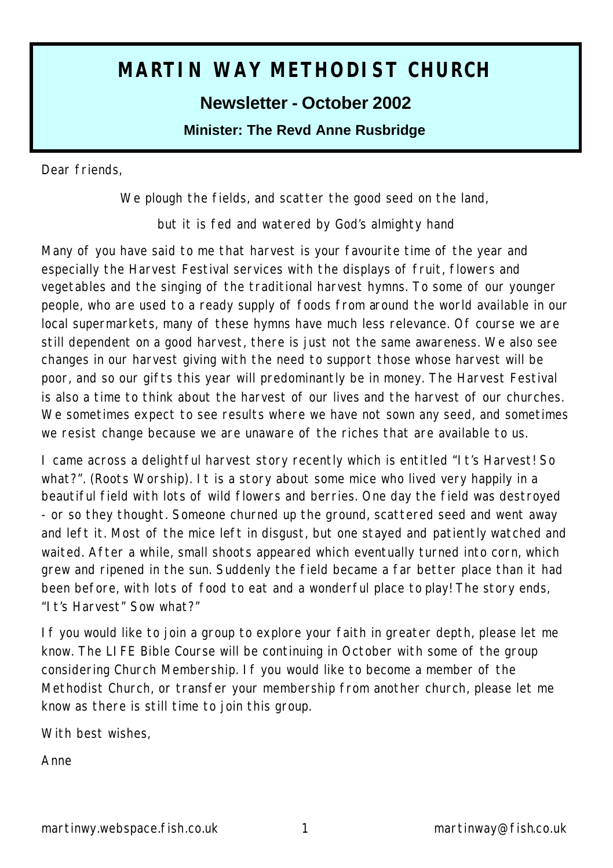# **MARTIN WAY METHODIST CHURCH**

# **Newsletter - October 2002**

**Minister: The Revd Anne Rusbridge**

Dear friends,

*We plough the fields, and scatter the good seed on the land,*

*but it is fed and watered by God's almighty hand*

Many of you have said to me that harvest is your favourite time of the year and especially the Harvest Festival services with the displays of fruit, flowers and vegetables and the singing of the traditional harvest hymns. To some of our younger people, who are used to a ready supply of foods from around the world available in our local supermarkets, many of these hymns have much less relevance. Of course we are still dependent on a good harvest, there is just not the same awareness. We also see changes in our harvest giving with the need to support those whose harvest will be poor, and so our gifts this year will predominantly be in money. The Harvest Festival is also a time to think about the harvest of our lives and the harvest of our churches. We sometimes expect to see results where we have not sown any seed, and sometimes we resist change because we are unaware of the riches that are available to us.

I came across a delightful harvest story recently which is entitled "It's Harvest! So what?". (Roots Worship). It is a story about some mice who lived very happily in a beautiful field with lots of wild flowers and berries. One day the field was destroyed - or so they thought. Someone churned up the ground, scattered seed and went away and left it. Most of the mice left in disgust, but one stayed and patiently watched and waited. After a while, small shoots appeared which eventually turned into corn, which grew and ripened in the sun. Suddenly the field became a far better place than it had been before, with lots of food to eat and a wonderful place to play! The story ends, "It's Harvest" Sow what?"

If you would like to join a group to explore your faith in greater depth, please let me know. The LIFE Bible Course will be continuing in October with some of the group considering Church Membership. If you would like to become a member of the Methodist Church, or transfer your membership from another church, please let me know as there is still time to join this group.

With best wishes,

Anne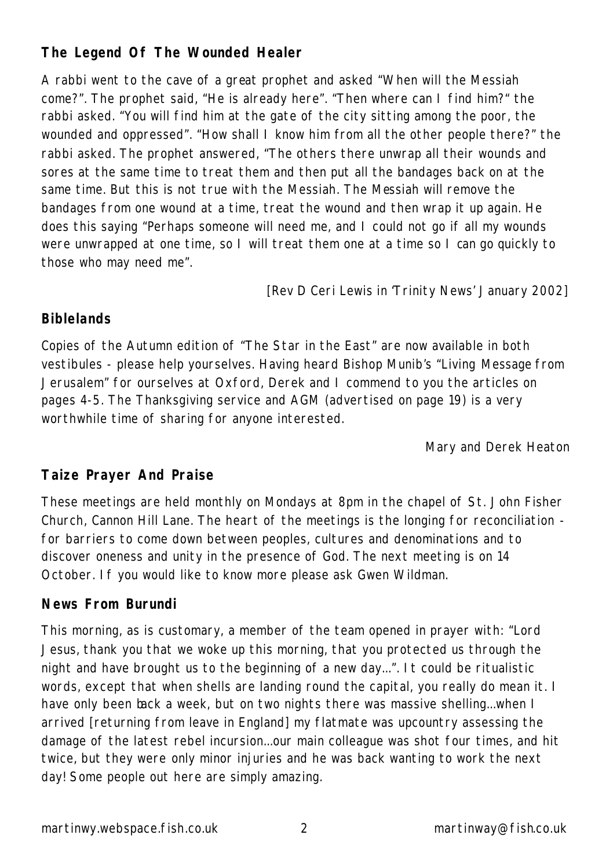# **The Legend Of The Wounded Healer**

A rabbi went to the cave of a great prophet and asked "When will the Messiah come?". The prophet said, "He is already here". "Then where can I find him?" the rabbi asked. "You will find him at the gate of the city sitting among the poor, the wounded and oppressed". "How shall I know him from all the other people there?" the rabbi asked. The prophet answered, "The others there unwrap all their wounds and sores at the same time to treat them and then put all the bandages back on at the same time. But this is not true with the Messiah. The Messiah will remove the bandages from one wound at a time, treat the wound and then wrap it up again. He does this saying "Perhaps someone will need me, and I could not go if all my wounds were unwrapped at one time, so I will treat them one at a time so I can go quickly to those who may need me".

*[Rev D Ceri Lewis in 'Trinity News' January 2002]*

# **Biblelands**

Copies of the Autumn edition of "The Star in the East" are now available in both vestibules - please help yourselves. Having heard Bishop Munib's "Living Message from Jerusalem" for ourselves at Oxford, Derek and I commend to you the articles on pages 4-5. The Thanksgiving service and AGM (advertised on page 19) is a very worthwhile time of sharing for anyone interested.

*Mary and Derek Heaton*

# **Taize Prayer And Praise**

These meetings are held monthly on Mondays at 8pm in the chapel of St. John Fisher Church, Cannon Hill Lane. The heart of the meetings is the longing for reconciliation for barriers to come down between peoples, cultures and denominations and to discover oneness and unity in the presence of God. The next meeting is on 14 October. If you would like to know more please ask Gwen Wildman.

# **News From Burundi**

This morning, as is customary, a member of the team opened in prayer with: "Lord Jesus, thank you that we woke up this morning, that you protected us through the night and have brought us to the beginning of a new day...". It could be ritualistic words, except that when shells are landing round the capital, you really do mean it. I have only been back a week, but on two nights there was massive shelling...when I arrived [returning from leave in England] my flatmate was upcountry assessing the damage of the latest rebel incursion...our main colleague was shot four times, and hit twice, but they were only minor injuries and he was back wanting to work the next day! Some people out here are simply amazing.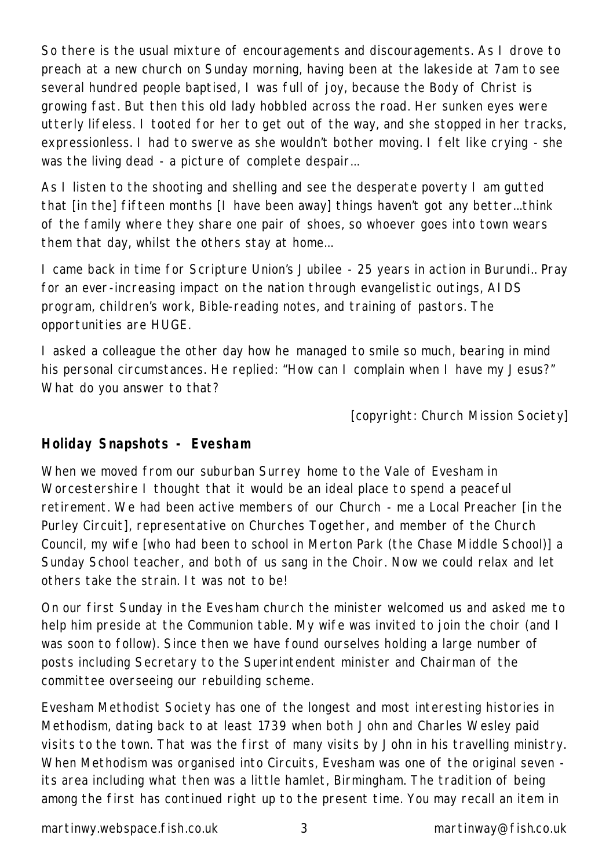So there is the usual mixture of encouragements and discouragements. As I drove to preach at a new church on Sunday morning, having been at the lakeside at 7am to see several hundred people baptised, I was full of joy, because the Body of Christ is growing fast. But then this old lady hobbled across the road. Her sunken eyes were utterly lifeless. I tooted for her to get out of the way, and she stopped in her tracks, expressionless. I had to swerve as she wouldn't bother moving. I felt like crying - she was the living dead - a picture of complete despair...

As I listen to the shooting and shelling and see the desperate poverty I am gutted that [in the] fifteen months [I have been away] things haven't got any better...think of the family where they share one pair of shoes, so whoever goes into town wears them that day, whilst the others stay at home...

I came back in time for Scripture Union's Jubilee - 25 years in action in Burundi.. Pray for an ever-increasing impact on the nation through evangelistic outings, AIDS program, children's work, Bible-reading notes, and training of pastors. The opportunities are HUGE.

I asked a colleague the other day how he managed to smile so much, bearing in mind his personal circumstances. He replied: "How can I complain when I have my Jesus?" What do you answer to that?

*[copyright: Church Mission Society]*

#### **Holiday Snapshots - Evesham**

When we moved from our suburban Surrey home to the Vale of Evesham in Worcestershire I thought that it would be an ideal place to spend a peaceful retirement. We had been active members of our Church - me a Local Preacher [in the Purley Circuit], representative on Churches Together, and member of the Church Council, my wife [who had been to school in Merton Park (the Chase Middle School)] a Sunday School teacher, and both of us sang in the Choir. Now we could relax and let others take the strain. It was not to be!

On our first Sunday in the Evesham church the minister welcomed us and asked me to help him preside at the Communion table. My wife was invited to join the choir (and I was soon to follow). Since then we have found ourselves holding a large number of posts including Secretary to the Superintendent minister and Chairman of the committee overseeing our rebuilding scheme.

Evesham Methodist Society has one of the longest and most interesting histories in Methodism, dating back to at least 1739 when both John and Charles Wesley paid visits to the town. That was the first of many visits by John in his travelling ministry. When Methodism was organised into Circuits, Evesham was one of the original seven its area including what then was a little hamlet, Birmingham. The tradition of being among the first has continued right up to the present time. You may recall an item in

martinwy.webspace.fish.co.uk 3 martinway@fish.co.uk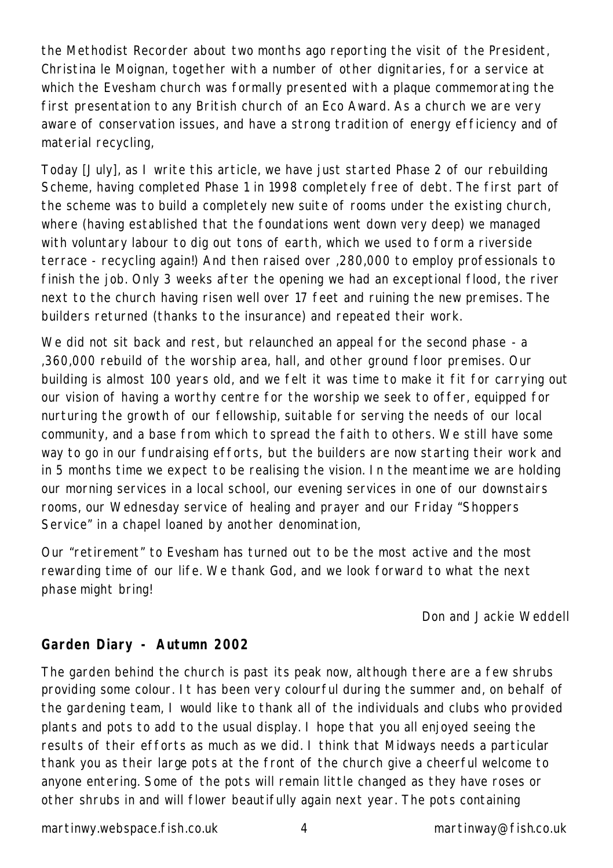the Methodist Recorder about two months ago reporting the visit of the President, Christina le Moignan, together with a number of other dignitaries, for a service at which the Evesham church was formally presented with a plaque commemorating the first presentation to any British church of an Eco Award. As a church we are very aware of conservation issues, and have a strong tradition of energy efficiency and of material recycling,

Today [July], as I write this article, we have just started Phase 2 of our rebuilding Scheme, having completed Phase 1 in 1998 completely free of debt. The first part of the scheme was to build a completely new suite of rooms under the existing church, where (having established that the foundations went down very deep) we managed with voluntary labour to dig out tons of earth, which we used to form a riverside terrace - recycling again!) And then raised over ,280,000 to employ professionals to finish the job. Only 3 weeks after the opening we had an exceptional flood, the river next to the church having risen well over 17 feet and ruining the new premises. The builders returned (thanks to the insurance) and repeated their work.

We did not sit back and rest, but relaunched an appeal for the second phase - a ,360,000 rebuild of the worship area, hall, and other ground floor premises. Our building is almost 100 years old, and we felt it was time to make it fit for carrying out our vision of having a worthy centre for the worship we seek to offer, equipped for nurturing the growth of our fellowship, suitable for serving the needs of our local community, and a base from which to spread the faith to others. We still have some way to go in our fundraising efforts, but the builders are now starting their work and in 5 months time we expect to be realising the vision. In the meantime we are holding our morning services in a local school, our evening services in one of our downstairs rooms, our Wednesday service of healing and prayer and our Friday "Shoppers Service" in a chapel loaned by another denomination,

Our "retirement" to Evesham has turned out to be the most active and the most rewarding time of our life. We thank God, and we look forward to what the next phase might bring!

*Don and Jackie Weddell*

# **Garden Diary - Autumn 2002**

The garden behind the church is past its peak now, although there are a few shrubs providing some colour. It has been very colourful during the summer and, on behalf of the gardening team, I would like to thank all of the individuals and clubs who provided plants and pots to add to the usual display. I hope that you all enjoyed seeing the results of their efforts as much as we did. I think that Midways needs a particular thank you as their large pots at the front of the church give a cheerful welcome to anyone entering. Some of the pots will remain little changed as they have roses or other shrubs in and will flower beautifully again next year. The pots containing

martinwy.webspace.fish.co.uk 4 martinway@fish.co.uk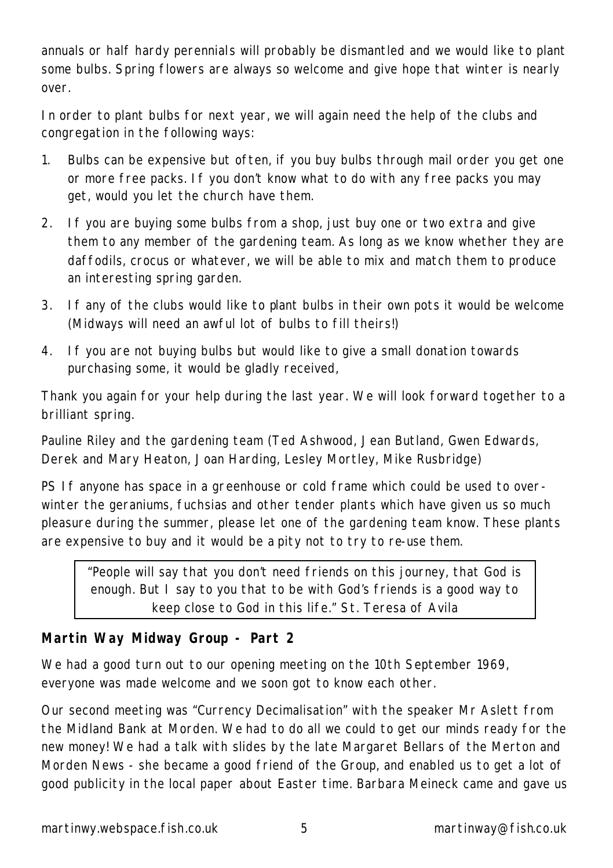annuals or half hardy perennials will probably be dismantled and we would like to plant some bulbs. Spring flowers are always so welcome and give hope that winter is nearly over.

In order to plant bulbs for next year, we will again need the help of the clubs and congregation in the following ways:

- 1. Bulbs can be expensive but often, if you buy bulbs through mail order you get one or more free packs. If you don't know what to do with any free packs you may get, would you let the church have them.
- 2. If you are buying some bulbs from a shop, just buy one or two extra and give them to any member of the gardening team. As long as we know whether they are daffodils, crocus or whatever, we will be able to mix and match them to produce an interesting spring garden.
- 3. If any of the clubs would like to plant bulbs in their own pots it would be welcome (Midways will need an awful lot of bulbs to fill theirs!)
- 4. If you are not buying bulbs but would like to give a small donation towards purchasing some, it would be gladly received,

Thank you again for your help during the last year. We will look forward together to a brilliant spring.

Pauline Riley and the gardening team (Ted Ashwood, Jean Butland, Gwen Edwards, Derek and Mary Heaton, Joan Harding, Lesley Mortley, Mike Rusbridge)

PS If anyone has space in a greenhouse or cold frame which could be used to overwinter the geraniums, fuchsias and other tender plants which have given us so much pleasure during the summer, please let one of the gardening team know. These plants are expensive to buy and it would be a pity not to try to re-use them.

*"People will say that you don't need friends on this journey, that God is enough. But I say to you that to be with God's friends is a good way to keep close to God in this life." St. Teresa of Avila*

#### **Martin Way Midway Group - Part 2**

We had a good turn out to our opening meeting on the 10th September 1969, everyone was made welcome and we soon got to know each other.

Our second meeting was "Currency Decimalisation" with the speaker Mr Aslett from the Midland Bank at Morden. We had to do all we could to get our minds ready for the new money! We had a talk with slides by the late Margaret Bellars of the Merton and Morden News - she became a good friend of the Group, and enabled us to get a lot of good publicity in the local paper about Easter time. Barbara Meineck came and gave us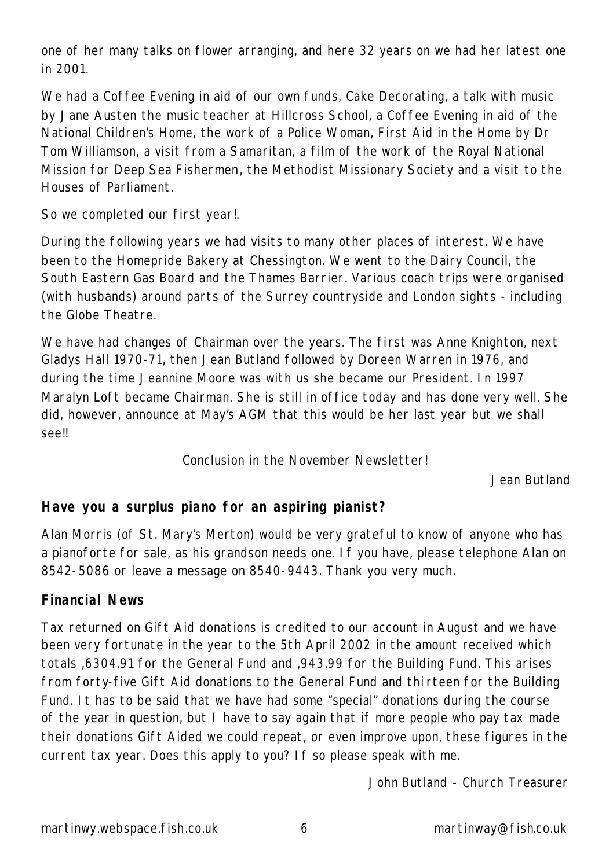one of her many talks on flower arranging, and here 32 years on we had her latest one in 2001.

We had a Coffee Evening in aid of our own funds, Cake Decorating, a talk with music by Jane Austen the music teacher at Hillcross School, a Coffee Evening in aid of the National Children's Home, the work of a Police Woman, First Aid in the Home by Dr Tom Williamson, a visit from a Samaritan, a film of the work of the Royal National Mission for Deep Sea Fishermen, the Methodist Missionary Society and a visit to the Houses of Parliament.

So we completed our first year!.

During the following years we had visits to many other places of interest. We have been to the Homepride Bakery at Chessington. We went to the Dairy Council, the South Eastern Gas Board and the Thames Barrier. Various coach trips were organised (with husbands) around parts of the Surrey countryside and London sights - including the Globe Theatre.

We have had changes of Chairman over the years. The first was Anne Knighton, next Gladys Hall 1970-71, then Jean Butland followed by Doreen Warren in 1976, and during the time Jeannine Moore was with us she became our President. In 1997 Maralyn Loft became Chairman. She is still in office today and has done very well. She did, however, announce at May's AGM that this would be her last year but we shall see!!

Conclusion in the November Newsletter!

*Jean Butland*

#### **Have you a surplus piano for an aspiring pianist?**

Alan Morris (of St. Mary's Merton) would be very grateful to know of anyone who has a pianoforte for sale, as his grandson needs one. If you have, please telephone Alan on 8542-5086 or leave a message on 8540-9443. Thank you very much.

#### **Financial News**

Tax returned on Gift Aid donations is credited to our account in August and we have been very fortunate in the year to the 5th April 2002 in the amount received which totals ,6304.91 for the General Fund and ,943.99 for the Building Fund. This arises from forty-five Gift Aid donations to the General Fund and thi rteen for the Building Fund. It has to be said that we have had some "special" donations during the course of the year in question, but I have to say again that if more people who pay tax made their donations Gift Aided we could repeat, or even improve upon, these figures in the current tax year. Does this apply to you? If so please speak with me.

*John Butland - Church Treasurer*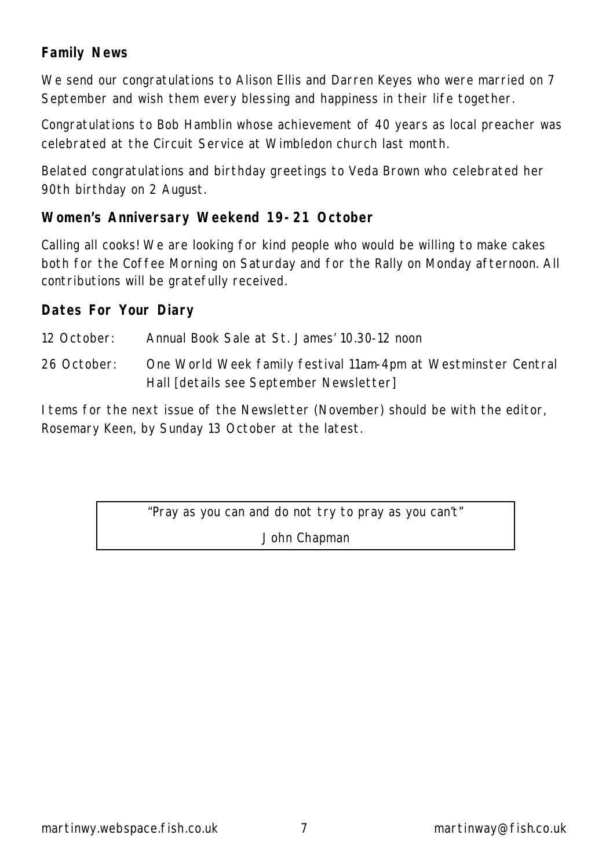# **Family News**

We send our congratulations to Alison Ellis and Darren Keyes who were married on 7 September and wish them every blessing and happiness in their life together.

Congratulations to Bob Hamblin whose achievement of 40 years as local preacher was celebrated at the Circuit Service at Wimbledon church last month.

Belated congratulations and birthday greetings to Veda Brown who celebrated her 90th birthday on 2 August.

#### **Women's Anniversary Weekend 19-21 October**

Calling all cooks! We are looking for kind people who would be willing to make cakes both for the Coffee Morning on Saturday and for the Rally on Monday afternoon. All contributions will be gratefully received.

#### **Dates For Your Diary**

12 October: Annual Book Sale at St. James' 10.30-12 noon

26 October: One World Week family festival 11am-4pm at Westminster Central Hall [details see September Newsletter]

Items for the next issue of the Newsletter (November) should be with the editor, Rosemary Keen, by Sunday 13 October at the latest.

> "Pray as you can and do not try to pray as you can't" John Chapman